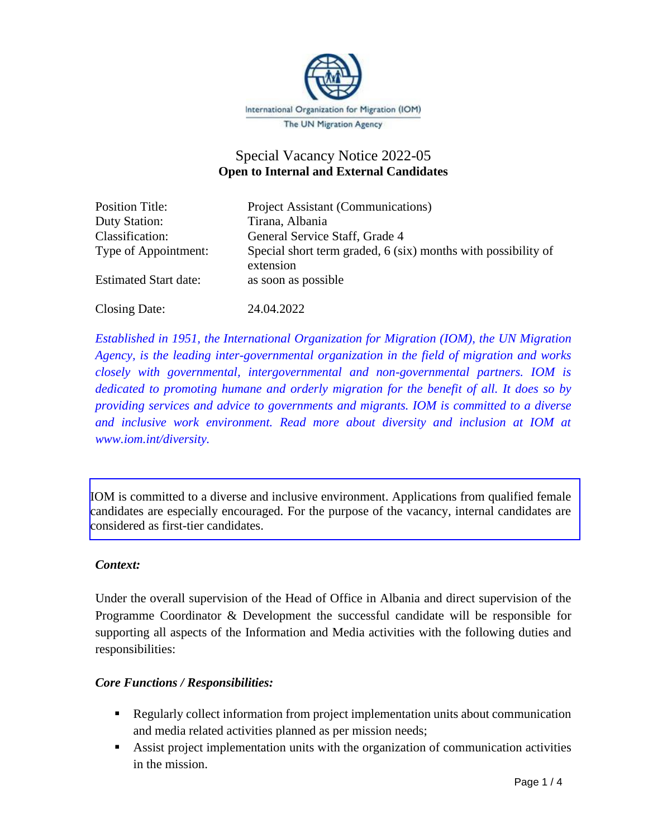

# Special Vacancy Notice 2022-05 **Open to Internal and External Candidates**

| <b>Position Title:</b>       | Project Assistant (Communications)                                         |
|------------------------------|----------------------------------------------------------------------------|
| Duty Station:                | Tirana, Albania                                                            |
| Classification:              | General Service Staff, Grade 4                                             |
| Type of Appointment:         | Special short term graded, 6 (six) months with possibility of<br>extension |
| <b>Estimated Start date:</b> | as soon as possible                                                        |

Closing Date: 24.04.2022

*Established in 1951, the International Organization for Migration (IOM), the UN Migration Agency, is the leading inter-governmental organization in the field of migration and works closely with governmental, intergovernmental and non-governmental partners. IOM is dedicated to promoting humane and orderly migration for the benefit of all. It does so by providing services and advice to governments and migrants. IOM is committed to a diverse and inclusive work environment. Read more about diversity and inclusion at IOM at www.iom.int/diversity.*

IOM is committed to a diverse and inclusive environment. Applications from qualified female candidates are especially encouraged. For the purpose of the vacancy, internal candidates are considered as first-tier candidates.

#### *Context:*

Under the overall supervision of the Head of Office in Albania and direct supervision of the Programme Coordinator & Development the successful candidate will be responsible for supporting all aspects of the Information and Media activities with the following duties and responsibilities:

#### *Core Functions / Responsibilities:*

- **Example 1** Regularly collect information from project implementation units about communication and media related activities planned as per mission needs;
- Assist project implementation units with the organization of communication activities in the mission.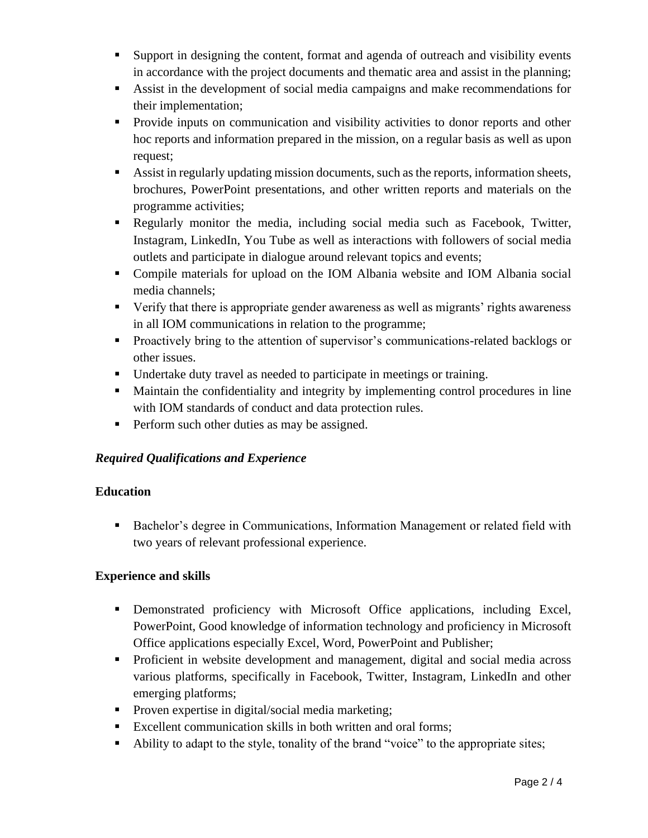- Support in designing the content, format and agenda of outreach and visibility events in accordance with the project documents and thematic area and assist in the planning;
- Assist in the development of social media campaigns and make recommendations for their implementation;
- **•** Provide inputs on communication and visibility activities to donor reports and other hoc reports and information prepared in the mission, on a regular basis as well as upon request;
- Assist in regularly updating mission documents, such as the reports, information sheets, brochures, PowerPoint presentations, and other written reports and materials on the programme activities;
- Regularly monitor the media, including social media such as Facebook, Twitter, Instagram, LinkedIn, You Tube as well as interactions with followers of social media outlets and participate in dialogue around relevant topics and events;
- Compile materials for upload on the IOM Albania website and IOM Albania social media channels;
- Verify that there is appropriate gender awareness as well as migrants' rights awareness in all IOM communications in relation to the programme;
- **•** Proactively bring to the attention of supervisor's communications-related backlogs or other issues.
- Undertake duty travel as needed to participate in meetings or training.
- Maintain the confidentiality and integrity by implementing control procedures in line with IOM standards of conduct and data protection rules.
- **•** Perform such other duties as may be assigned.

# *Required Qualifications and Experience*

# **Education**

■ Bachelor's degree in Communications, Information Management or related field with two years of relevant professional experience.

# **Experience and skills**

- **•** Demonstrated proficiency with Microsoft Office applications, including Excel, PowerPoint, Good knowledge of information technology and proficiency in Microsoft Office applications especially Excel, Word, PowerPoint and Publisher;
- Proficient in website development and management, digital and social media across various platforms, specifically in Facebook, Twitter, Instagram, LinkedIn and other emerging platforms;
- **•** Proven expertise in digital/social media marketing;
- Excellent communication skills in both written and oral forms;
- Ability to adapt to the style, tonality of the brand "voice" to the appropriate sites;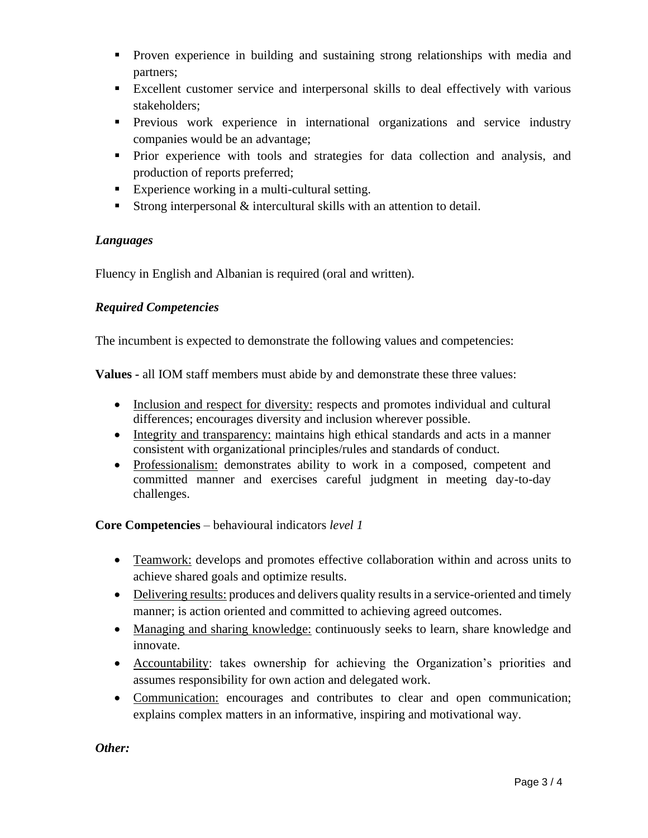- Proven experience in building and sustaining strong relationships with media and partners;
- Excellent customer service and interpersonal skills to deal effectively with various stakeholders;
- **•** Previous work experience in international organizations and service industry companies would be an advantage;
- Prior experience with tools and strategies for data collection and analysis, and production of reports preferred;
- Experience working in a multi-cultural setting.
- **Example 1** Strong interpersonal  $\&$  intercultural skills with an attention to detail.

#### *Languages*

Fluency in English and Albanian is required (oral and written).

#### *Required Competencies*

The incumbent is expected to demonstrate the following values and competencies:

**Values -** all IOM staff members must abide by and demonstrate these three values:

- Inclusion and respect for diversity: respects and promotes individual and cultural differences; encourages diversity and inclusion wherever possible.
- Integrity and transparency: maintains high ethical standards and acts in a manner consistent with organizational principles/rules and standards of conduct.
- Professionalism: demonstrates ability to work in a composed, competent and committed manner and exercises careful judgment in meeting day-to-day challenges.

#### **Core Competencies** – behavioural indicators *level 1*

- Teamwork: develops and promotes effective collaboration within and across units to achieve shared goals and optimize results.
- Delivering results: produces and delivers quality results in a service-oriented and timely manner; is action oriented and committed to achieving agreed outcomes.
- Managing and sharing knowledge: continuously seeks to learn, share knowledge and innovate.
- Accountability: takes ownership for achieving the Organization's priorities and assumes responsibility for own action and delegated work.
- Communication: encourages and contributes to clear and open communication; explains complex matters in an informative, inspiring and motivational way.

*Other:*